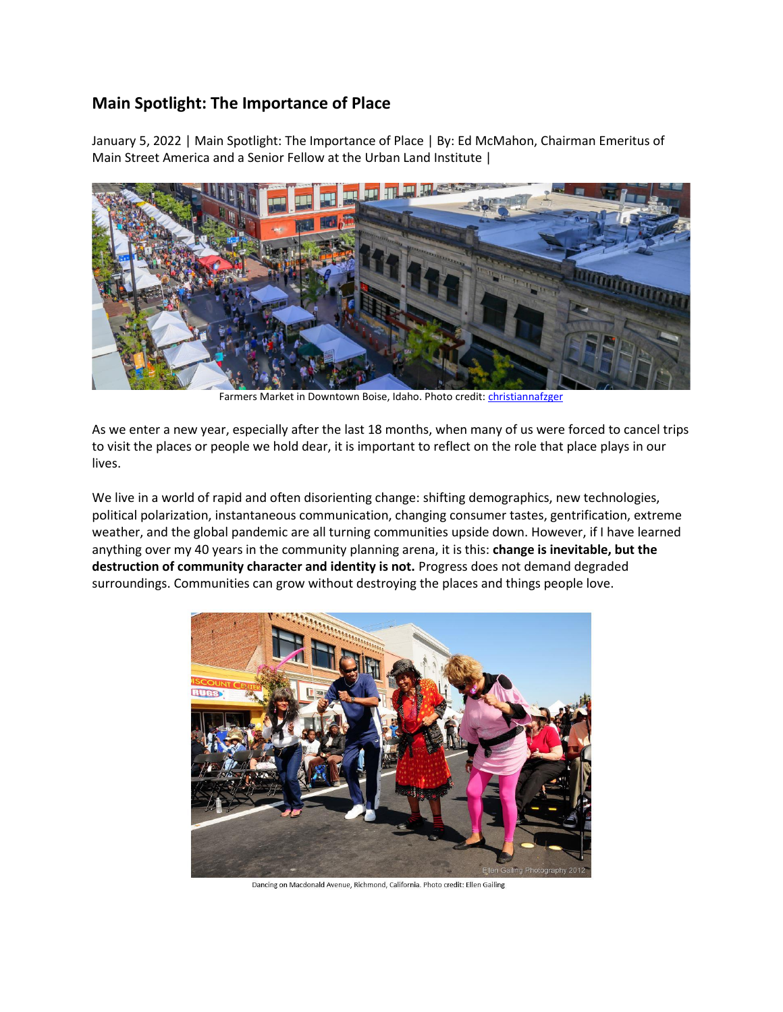## **Main Spotlight: The Importance of Place**

January 5, 2022 | Main Spotlight: The Importance of Place | By: Ed McMahon, Chairman Emeritus of Main Street America and a Senior Fellow at the Urban Land Institute |



Farmers Market in Downtown Boise, Idaho. Photo credit: *christiannafzger* 

As we enter a new year, especially after the last 18 months, when many of us were forced to cancel trips to visit the places or people we hold dear, it is important to reflect on the role that place plays in our lives.

We live in a world of rapid and often disorienting change: shifting demographics, new technologies, political polarization, instantaneous communication, changing consumer tastes, gentrification, extreme weather, and the global pandemic are all turning communities upside down. However, if I have learned anything over my 40 years in the community planning arena, it is this: **change is inevitable, but the destruction of community character and identity is not.** Progress does not demand degraded surroundings. Communities can grow without destroying the places and things people love.



Dancing on Macdonald Avenue, Richmond, California. Photo credit: Ellen Gailing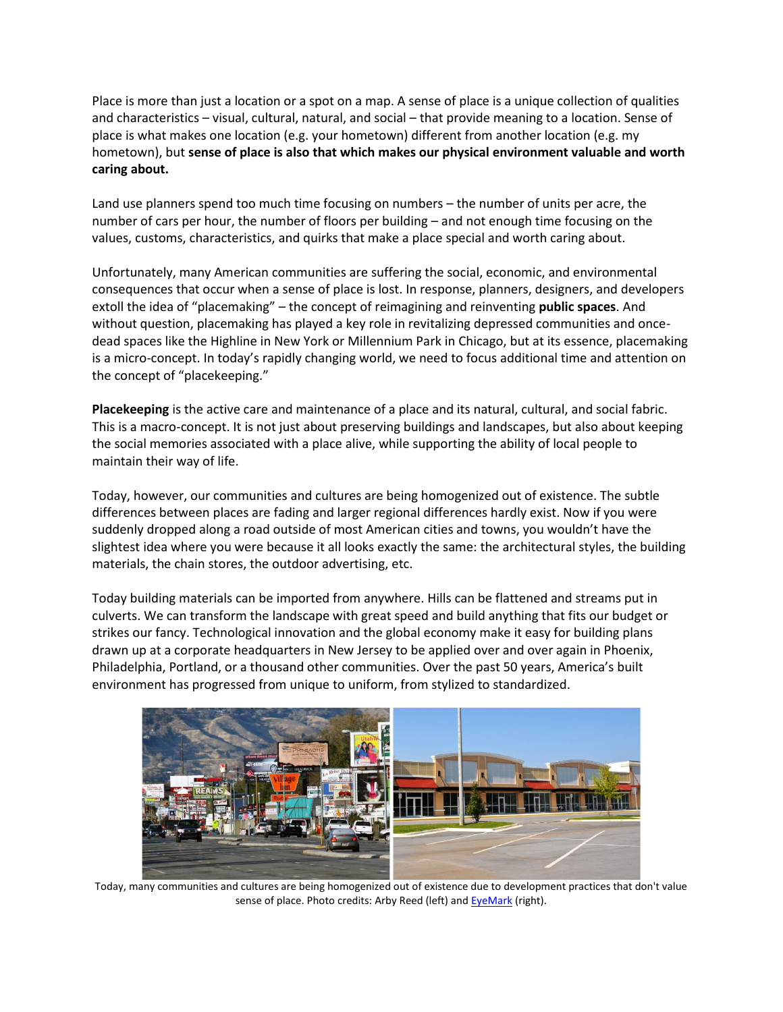Place is more than just a location or a spot on a map. A sense of place is a unique collection of qualities and characteristics – visual, cultural, natural, and social – that provide meaning to a location. Sense of place is what makes one location (e.g. your hometown) different from another location (e.g. my hometown), but **sense of place is also that which makes our physical environment valuable and worth caring about.**

Land use planners spend too much time focusing on numbers – the number of units per acre, the number of cars per hour, the number of floors per building – and not enough time focusing on the values, customs, characteristics, and quirks that make a place special and worth caring about.

Unfortunately, many American communities are suffering the social, economic, and environmental consequences that occur when a sense of place is lost. In response, planners, designers, and developers extoll the idea of "placemaking" – the concept of reimagining and reinventing **public spaces**. And without question, placemaking has played a key role in revitalizing depressed communities and oncedead spaces like the Highline in New York or Millennium Park in Chicago, but at its essence, placemaking is a micro-concept. In today's rapidly changing world, we need to focus additional time and attention on the concept of "placekeeping."

**Placekeeping** is the active care and maintenance of a place and its natural, cultural, and social fabric. This is a macro-concept. It is not just about preserving buildings and landscapes, but also about keeping the social memories associated with a place alive, while supporting the ability of local people to maintain their way of life.

Today, however, our communities and cultures are being homogenized out of existence. The subtle differences between places are fading and larger regional differences hardly exist. Now if you were suddenly dropped along a road outside of most American cities and towns, you wouldn't have the slightest idea where you were because it all looks exactly the same: the architectural styles, the building materials, the chain stores, the outdoor advertising, etc.

Today building materials can be imported from anywhere. Hills can be flattened and streams put in culverts. We can transform the landscape with great speed and build anything that fits our budget or strikes our fancy. Technological innovation and the global economy make it easy for building plans drawn up at a corporate headquarters in New Jersey to be applied over and over again in Phoenix, Philadelphia, Portland, or a thousand other communities. Over the past 50 years, America's built environment has progressed from unique to uniform, from stylized to standardized.



Today, many communities and cultures are being homogenized out of existence due to development practices that don't value sense of place. Photo credits: Arby Reed (left) an[d EyeMark](https://www.istockphoto.com/portfolio/EyeMark?mediatype=photography) (right).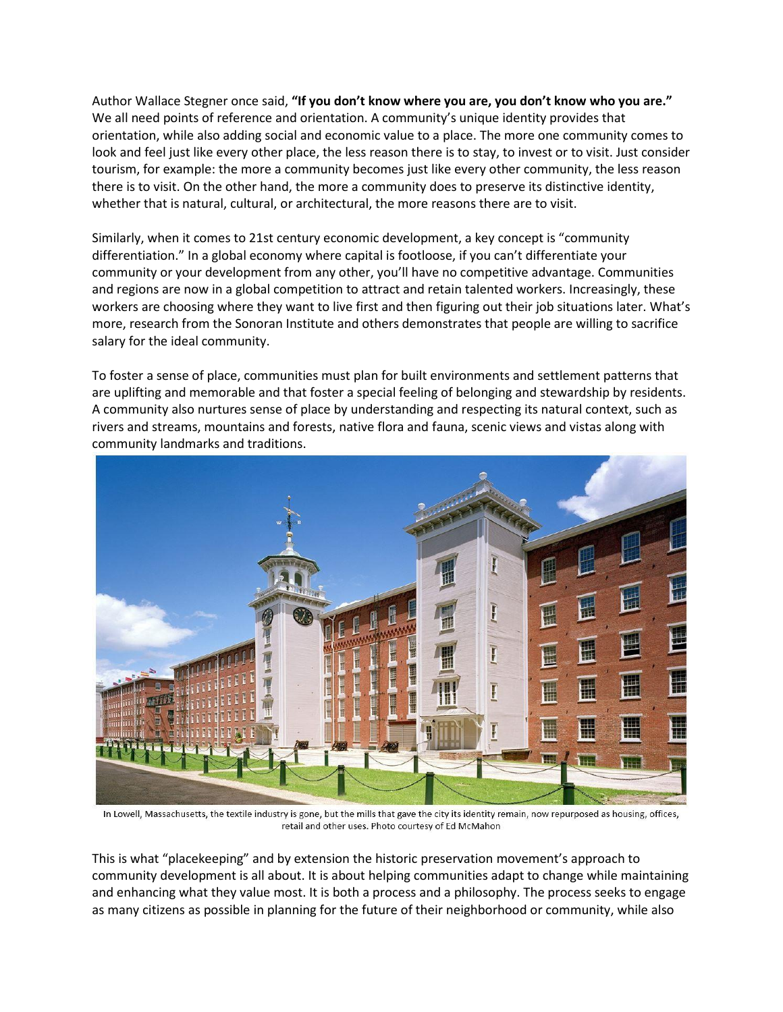Author Wallace Stegner once said, **"If you don't know where you are, you don't know who you are."** We all need points of reference and orientation. A community's unique identity provides that orientation, while also adding social and economic value to a place. The more one community comes to look and feel just like every other place, the less reason there is to stay, to invest or to visit. Just consider tourism, for example: the more a community becomes just like every other community, the less reason there is to visit. On the other hand, the more a community does to preserve its distinctive identity, whether that is natural, cultural, or architectural, the more reasons there are to visit.

Similarly, when it comes to 21st century economic development, a key concept is "community differentiation." In a global economy where capital is footloose, if you can't differentiate your community or your development from any other, you'll have no competitive advantage. Communities and regions are now in a global competition to attract and retain talented workers. Increasingly, these workers are choosing where they want to live first and then figuring out their job situations later. What's more, research from the Sonoran Institute and others demonstrates that people are willing to sacrifice salary for the ideal community.

To foster a sense of place, communities must plan for built environments and settlement patterns that are uplifting and memorable and that foster a special feeling of belonging and stewardship by residents. A community also nurtures sense of place by understanding and respecting its natural context, such as rivers and streams, mountains and forests, native flora and fauna, scenic views and vistas along with community landmarks and traditions.



In Lowell, Massachusetts, the textile industry is gone, but the mills that gave the city its identity remain, now repurposed as housing, offices, retail and other uses. Photo courtesy of Ed McMahon

This is what "placekeeping" and by extension the historic preservation movement's approach to community development is all about. It is about helping communities adapt to change while maintaining and enhancing what they value most. It is both a process and a philosophy. The process seeks to engage as many citizens as possible in planning for the future of their neighborhood or community, while also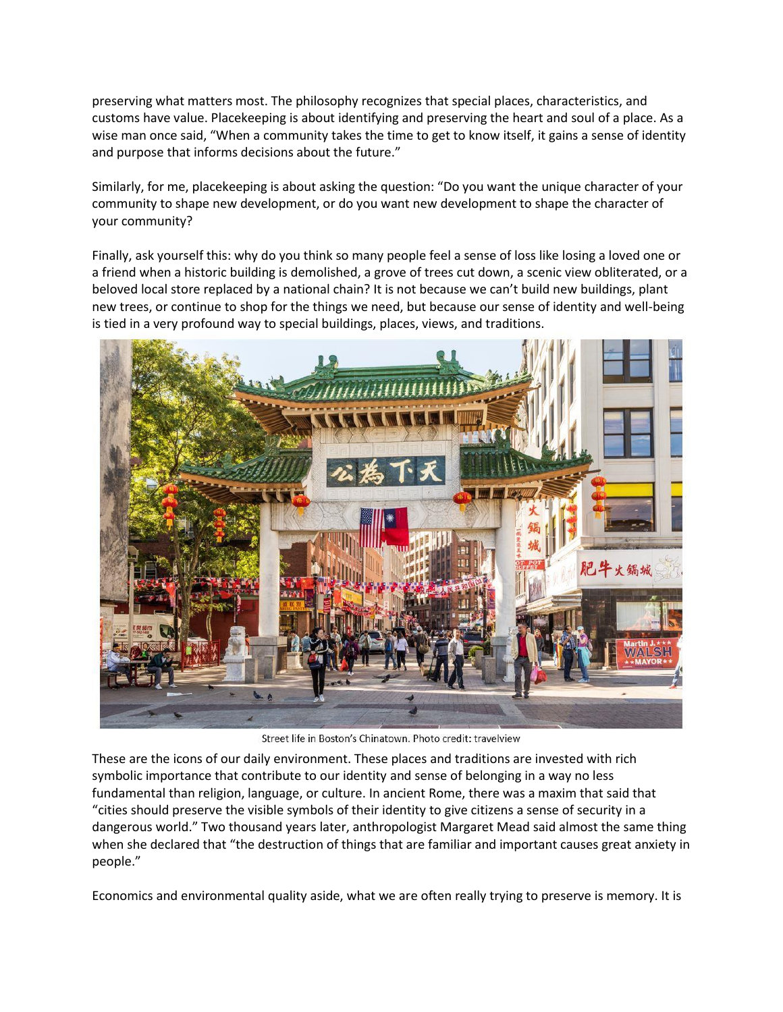preserving what matters most. The philosophy recognizes that special places, characteristics, and customs have value. Placekeeping is about identifying and preserving the heart and soul of a place. As a wise man once said, "When a community takes the time to get to know itself, it gains a sense of identity and purpose that informs decisions about the future."

Similarly, for me, placekeeping is about asking the question: "Do you want the unique character of your community to shape new development, or do you want new development to shape the character of your community?

Finally, ask yourself this: why do you think so many people feel a sense of loss like losing a loved one or a friend when a historic building is demolished, a grove of trees cut down, a scenic view obliterated, or a beloved local store replaced by a national chain? It is not because we can't build new buildings, plant new trees, or continue to shop for the things we need, but because our sense of identity and well-being is tied in a very profound way to special buildings, places, views, and traditions.



Street life in Boston's Chinatown. Photo credit: travelview

These are the icons of our daily environment. These places and traditions are invested with rich symbolic importance that contribute to our identity and sense of belonging in a way no less fundamental than religion, language, or culture. In ancient Rome, there was a maxim that said that "cities should preserve the visible symbols of their identity to give citizens a sense of security in a dangerous world." Two thousand years later, anthropologist Margaret Mead said almost the same thing when she declared that "the destruction of things that are familiar and important causes great anxiety in people."

Economics and environmental quality aside, what we are often really trying to preserve is memory. It is